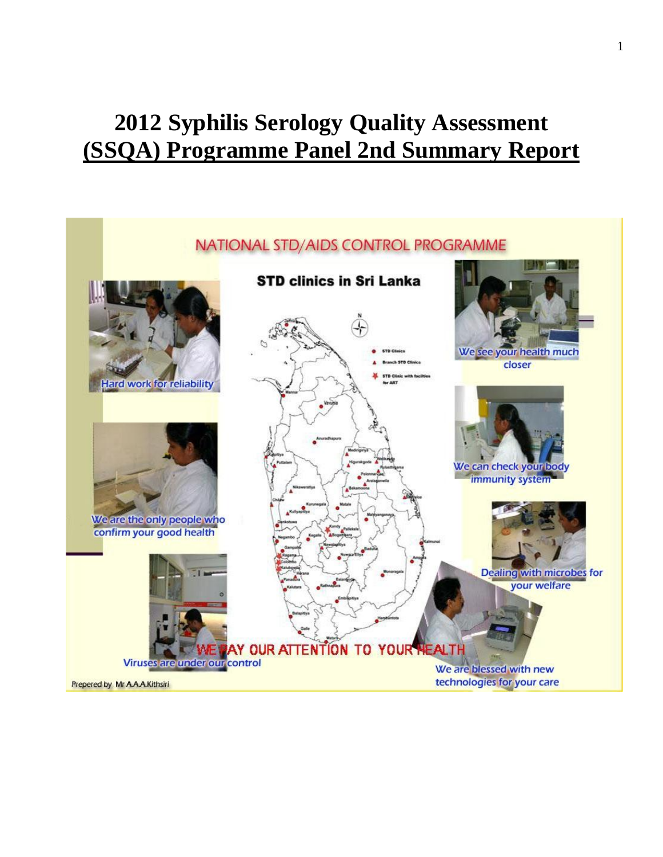# **Syphilis Serology Quality Assessment (SSQA) Programme Panel 2nd Summary Report**

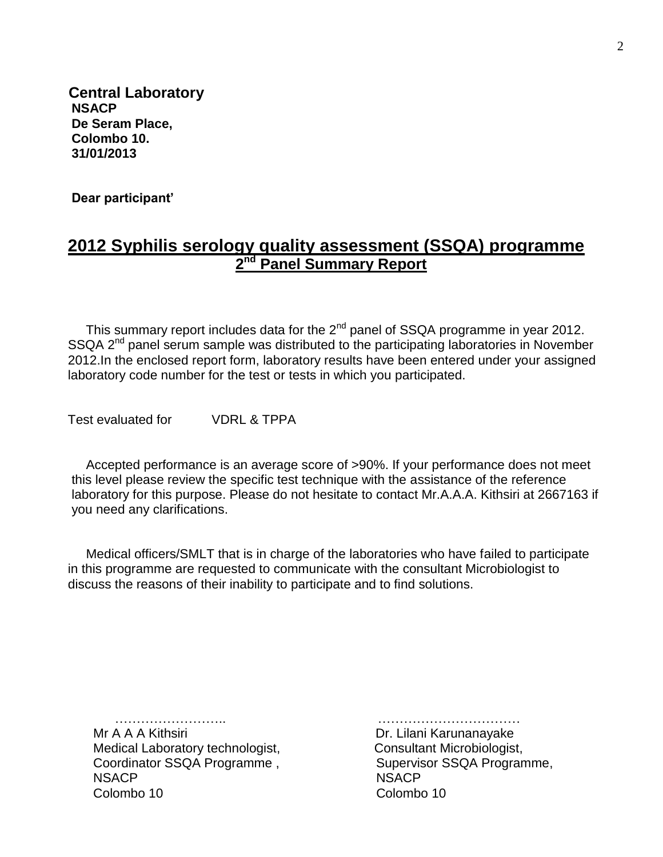**Central Laboratory NSACP De Seram Place, Colombo 10. 31/01/2013**

 **Dear participant'** 

## **2012 Syphilis serology quality assessment (SSQA) programme 2 nd Panel Summary Report**

This summary report includes data for the  $2<sup>nd</sup>$  panel of SSQA programme in year 2012. SSQA 2<sup>nd</sup> panel serum sample was distributed to the participating laboratories in November 2012.In the enclosed report form, laboratory results have been entered under your assigned laboratory code number for the test or tests in which you participated.

Test evaluated for VDRL & TPPA

 Accepted performance is an average score of >90%. If your performance does not meet this level please review the specific test technique with the assistance of the reference laboratory for this purpose. Please do not hesitate to contact Mr.A.A.A. Kithsiri at 2667163 if you need any clarifications.

 Medical officers/SMLT that is in charge of the laboratories who have failed to participate in this programme are requested to communicate with the consultant Microbiologist to discuss the reasons of their inability to participate and to find solutions.

 Mr A A A Kithsiri Dr. Lilani Karunanayake Medical Laboratory technologist, Consultant Microbiologist, Coordinator SSQA Programme, Supervisor SSQA Programme, NSACP NSACP Colombo 10 Colombo 10

……………………………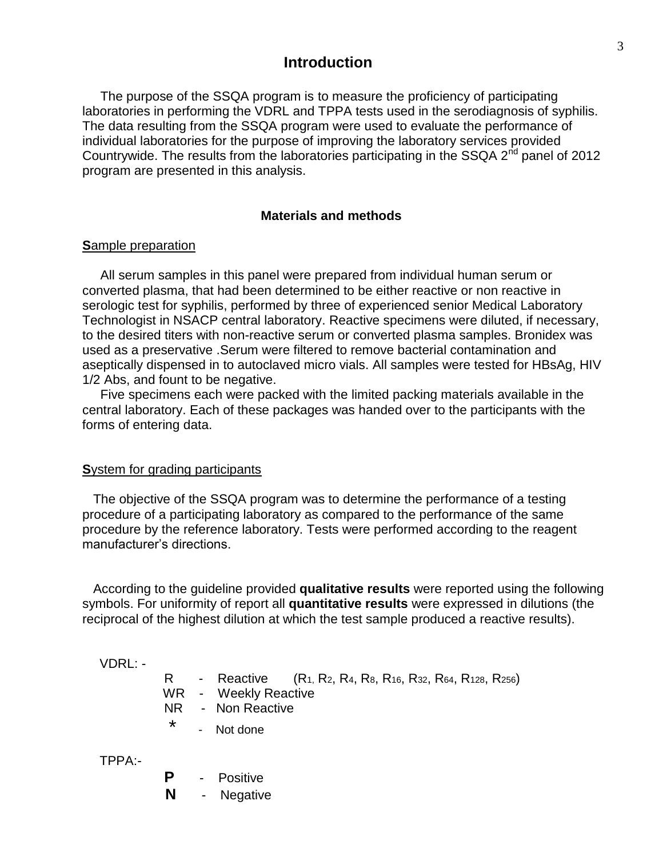#### **Introduction**

 The purpose of the SSQA program is to measure the proficiency of participating laboratories in performing the VDRL and TPPA tests used in the serodiagnosis of syphilis. The data resulting from the SSQA program were used to evaluate the performance of individual laboratories for the purpose of improving the laboratory services provided Countrywide. The results from the laboratories participating in the SSQA 2<sup>nd</sup> panel of 2012 program are presented in this analysis.

#### **Materials and methods**

#### **S**ample preparation

 All serum samples in this panel were prepared from individual human serum or converted plasma, that had been determined to be either reactive or non reactive in serologic test for syphilis, performed by three of experienced senior Medical Laboratory Technologist in NSACP central laboratory. Reactive specimens were diluted, if necessary, to the desired titers with non-reactive serum or converted plasma samples. Bronidex was used as a preservative .Serum were filtered to remove bacterial contamination and aseptically dispensed in to autoclaved micro vials. All samples were tested for HBsAg, HIV 1/2 Abs, and fount to be negative.

 Five specimens each were packed with the limited packing materials available in the central laboratory. Each of these packages was handed over to the participants with the forms of entering data.

#### **S**ystem for grading participants

 The objective of the SSQA program was to determine the performance of a testing procedure of a participating laboratory as compared to the performance of the same procedure by the reference laboratory. Tests were performed according to the reagent manufacturer's directions.

 According to the guideline provided **qualitative results** were reported using the following symbols. For uniformity of report all **quantitative results** were expressed in dilutions (the reciprocal of the highest dilution at which the test sample produced a reactive results).

VDRL: -

|  | - Reactive $(R_1, R_2, R_4, R_8, R_{16}, R_{32}, R_{64}, R_{128}, R_{256})$ |
|--|-----------------------------------------------------------------------------|
|  | WR - Weekly Reactive                                                        |
|  | NR - Non Reactive                                                           |
|  | - Not done                                                                  |

TPPA:-

 **P** - Positive **N** - Negative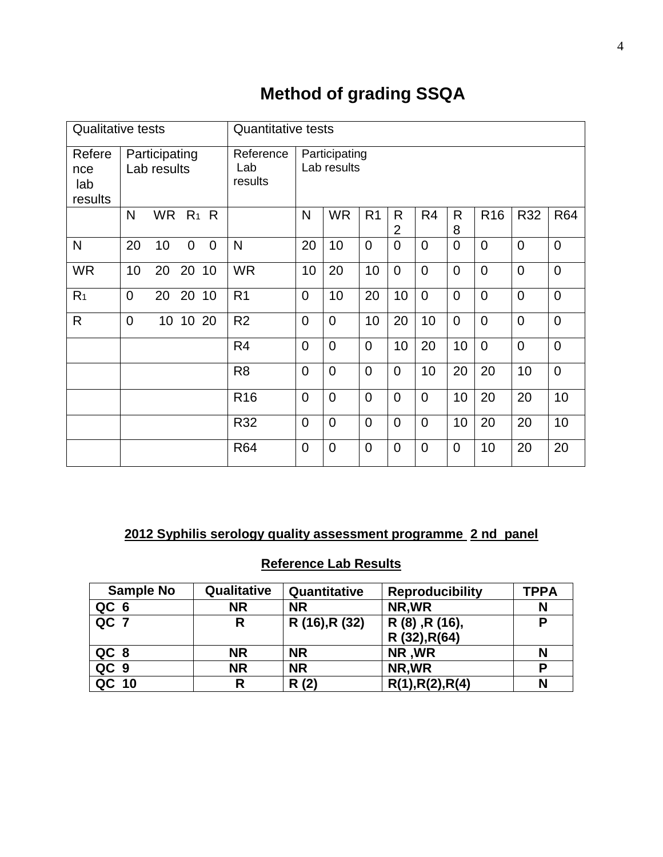## **Method of grading SSQA**

| <b>Qualitative tests</b>        |                |                              | <b>Quantitative tests</b> |                |                             |                |                              |                |                                |                |                |                 |                |                |
|---------------------------------|----------------|------------------------------|---------------------------|----------------|-----------------------------|----------------|------------------------------|----------------|--------------------------------|----------------|----------------|-----------------|----------------|----------------|
| Refere<br>nce<br>lab<br>results |                | Participating<br>Lab results |                           |                | Reference<br>Lab<br>results |                | Participating<br>Lab results |                |                                |                |                |                 |                |                |
|                                 | N              | <b>WR</b>                    |                           | $R_1$ R        |                             | N              | <b>WR</b>                    | R <sub>1</sub> | $\mathsf{R}$<br>$\overline{2}$ | R <sub>4</sub> | R.<br>8        | R <sub>16</sub> | R32            | <b>R64</b>     |
| N                               | 20             | 10                           | $\Omega$                  | $\overline{0}$ | N                           | 20             | 10                           | $\Omega$       | $\overline{0}$                 | $\overline{0}$ | $\mathbf 0$    | $\overline{0}$  | $\overline{0}$ | $\overline{0}$ |
| <b>WR</b>                       | 10             | 20                           | 20                        | 10             | <b>WR</b>                   | 10             | 20                           | 10             | $\overline{0}$                 | $\overline{0}$ | $\overline{0}$ | $\overline{0}$  | $\overline{0}$ | $\overline{0}$ |
| R <sub>1</sub>                  | $\overline{0}$ | 20                           | 20 10                     |                | R <sub>1</sub>              | $\overline{0}$ | 10                           | 20             | 10                             | $\overline{0}$ | $\overline{0}$ | $\overline{0}$  | $\overline{0}$ | $\overline{0}$ |
| R                               | $\overline{0}$ | 10                           | 10 20                     |                | R <sub>2</sub>              | $\overline{0}$ | $\overline{0}$               | 10             | 20                             | 10             | $\overline{0}$ | $\overline{0}$  | $\overline{0}$ | $\overline{0}$ |
|                                 |                |                              |                           |                | R <sub>4</sub>              | $\overline{0}$ | $\overline{0}$               | $\overline{0}$ | 10                             | 20             | 10             | $\overline{0}$  | $\overline{0}$ | $\overline{0}$ |
|                                 |                |                              |                           |                | R <sub>8</sub>              | $\overline{0}$ | $\overline{0}$               | $\overline{0}$ | $\overline{0}$                 | 10             | 20             | 20              | 10             | $\overline{0}$ |
|                                 |                |                              |                           |                | R <sub>16</sub>             | $\overline{0}$ | $\mathbf 0$                  | $\overline{0}$ | $\overline{0}$                 | $\overline{0}$ | 10             | 20              | 20             | 10             |
|                                 |                |                              |                           |                | R32                         | $\overline{0}$ | $\overline{0}$               | $\overline{0}$ | $\overline{0}$                 | $\overline{0}$ | 10             | 20              | 20             | 10             |
|                                 |                |                              |                           |                | <b>R64</b>                  | $\overline{0}$ | $\overline{0}$               | $\overline{0}$ | $\overline{0}$                 | $\overline{0}$ | 0              | 10              | 20             | 20             |

## **2012 Syphilis serology quality assessment programme 2 nd panel**

## **Reference Lab Results**

| <b>Sample No</b> | Qualitative | Quantitative   | <b>Reproducibility</b> | <b>TPPA</b> |
|------------------|-------------|----------------|------------------------|-------------|
| QC <sub>6</sub>  | <b>NR</b>   | <b>NR</b>      | NR, WR                 | N           |
| QC 7             | R           | R (16), R (32) | R (8), R (16),         | P           |
|                  |             |                | R (32), R(64)          |             |
| QC <sub>8</sub>  | ΝR          | <b>NR</b>      | NR, WR                 |             |
| QC <sub>9</sub>  | <b>NR</b>   | <b>NR</b>      | NR, WR                 | D           |
| QC 10            | R           | R(2)           | R(1), R(2), R(4)       |             |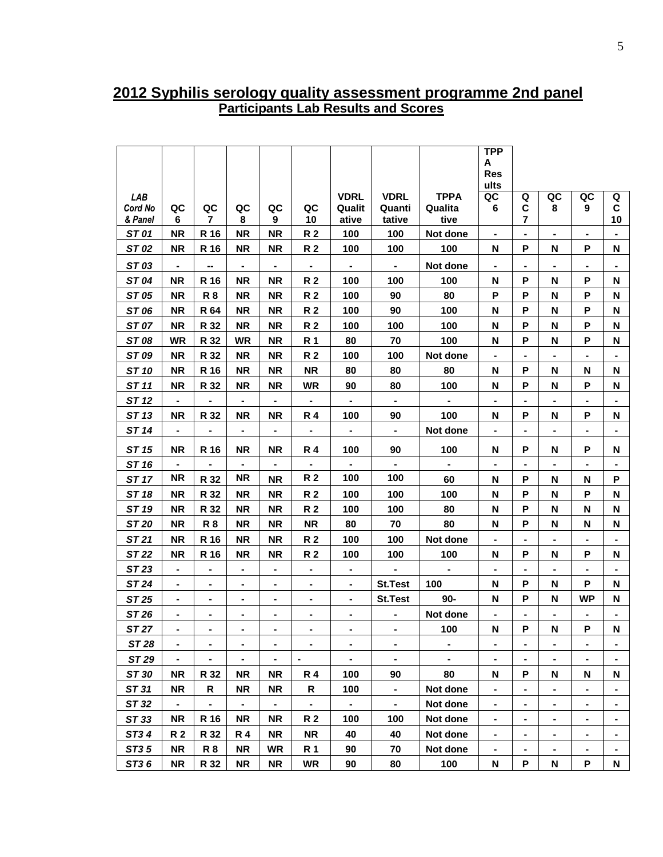### **2012 Syphilis serology quality assessment programme 2nd panel Participants Lab Results and Scores**

|              |                              |                |                          |                          |                          |                          |                |                | <b>TPP</b>               |                              |    |                              |                |
|--------------|------------------------------|----------------|--------------------------|--------------------------|--------------------------|--------------------------|----------------|----------------|--------------------------|------------------------------|----|------------------------------|----------------|
|              |                              |                |                          |                          |                          |                          |                |                | Α<br><b>Res</b>          |                              |    |                              |                |
|              |                              |                |                          |                          |                          |                          |                |                | ults                     |                              |    |                              |                |
| <b>LAB</b>   |                              |                |                          |                          |                          | <b>VDRL</b>              | <b>VDRL</b>    | <b>TPPA</b>    | QC                       | Q                            | QC | QC                           | Q              |
| Cord No      | QC                           | QC             | QC                       | QC                       | QC                       | Qualit                   | Quanti         | Qualita        | 6                        | C                            | 8  | 9                            | C              |
| & Panel      | 6                            | 7              | 8                        | 9                        | 10                       | ative                    | tative         | tive           |                          | 7                            |    |                              | 10             |
| ST 01        | <b>NR</b>                    | R 16           | <b>NR</b>                | <b>NR</b>                | R 2                      | 100                      | 100            | Not done       | $\blacksquare$           | $\qquad \qquad \blacksquare$ | ۰  | ۰                            |                |
| ST 02        | <b>NR</b>                    | R 16           | <b>NR</b>                | <b>NR</b>                | R 2                      | 100                      | 100            | 100            | N                        | P                            | N  | P                            | N              |
| ST 03        | $\qquad \qquad \blacksquare$ |                | -                        | $\blacksquare$           | ٠                        | $\blacksquare$           | $\blacksquare$ | Not done       | $\overline{\phantom{0}}$ | -                            | ٠  | ٠                            |                |
| ST 04        | <b>NR</b>                    | R 16           | <b>NR</b>                | <b>NR</b>                | R 2                      | 100                      | 100            | 100            | N                        | P                            | N  | Ρ                            | N              |
| ST 05        | <b>NR</b>                    | <b>R8</b>      | <b>NR</b>                | <b>NR</b>                | R 2                      | 100                      | 90             | 80             | P                        | P                            | N  | P                            | N              |
| ST 06        | <b>NR</b>                    | R 64           | <b>NR</b>                | <b>NR</b>                | R 2                      | 100                      | 90             | 100            | N                        | P                            | N  | P                            | N              |
| ST 07        | <b>NR</b>                    | R 32           | <b>NR</b>                | <b>NR</b>                | R 2                      | 100                      | 100            | 100            | N                        | P                            | N  | P                            | N              |
| ST 08        | <b>WR</b>                    | R 32           | <b>WR</b>                | <b>NR</b>                | R 1                      | 80                       | 70             | 100            | N                        | P                            | N  | P                            | N              |
| ST 09        | <b>NR</b>                    | R 32           | <b>NR</b>                | <b>NR</b>                | R 2                      | 100                      | 100            | Not done       |                          | $\blacksquare$               |    | $\blacksquare$               | $\blacksquare$ |
| ST 10        | <b>NR</b>                    | R 16           | <b>NR</b>                | <b>NR</b>                | <b>NR</b>                | 80                       | 80             | 80             | N                        | P                            | N  | N                            | N              |
| ST 11        | <b>NR</b>                    | R 32           | <b>NR</b>                | <b>NR</b>                | <b>WR</b>                | 90                       | 80             | 100            | N                        | P                            | N  | P                            | N              |
| ST 12        | $\overline{\phantom{0}}$     | $\blacksquare$ | $\blacksquare$           | $\blacksquare$           | $\blacksquare$           | $\blacksquare$           | $\blacksquare$ | $\blacksquare$ | $\blacksquare$           | $\blacksquare$               | ۰  | $\blacksquare$               | ۰              |
| ST 13        | <b>NR</b>                    | R 32           | ΝR                       | <b>NR</b>                | <b>R4</b>                | 100                      | 90             | 100            | N                        | P                            | N  | P                            | N              |
| ST 14        | $\blacksquare$               | $\blacksquare$ | $\blacksquare$           | $\blacksquare$           | ۰                        | $\blacksquare$           | $\blacksquare$ | Not done       | $\blacksquare$           | $\blacksquare$               | -  | $\blacksquare$               | $\blacksquare$ |
| ST 15        | <b>NR</b>                    | R 16           | <b>NR</b>                | <b>NR</b>                | <b>R4</b>                | 100                      | 90             | 100            | N                        | P                            | N  | P                            | N              |
| ST 16        | $\blacksquare$               |                |                          | $\blacksquare$           | $\overline{\phantom{0}}$ | $\blacksquare$           |                |                | $\overline{\phantom{0}}$ |                              |    | $\blacksquare$               |                |
| ST 17        | <b>NR</b>                    | R 32           | <b>NR</b>                | <b>NR</b>                | R 2                      | 100                      | 100            | 60             | N                        | P                            | N  | N                            | P              |
| ST 18        | <b>NR</b>                    | R 32           | NR                       | <b>NR</b>                | R 2                      | 100                      | 100            | 100            | N                        | P                            | N  | P                            | N              |
| ST 19        | <b>NR</b>                    | R 32           | <b>NR</b>                | <b>NR</b>                | R 2                      | 100                      | 100            | 80             | N                        | P                            | N  | N                            | N              |
| ST 20        | <b>NR</b>                    | <b>R8</b>      | <b>NR</b>                | <b>NR</b>                | <b>NR</b>                | 80                       | 70             | 80             | N                        | P                            | N  | N                            | N              |
| ST 21        | <b>NR</b>                    | R 16           | <b>NR</b>                | <b>NR</b>                | R 2                      | 100                      | 100            | Not done       | $\blacksquare$           | -                            | ٠  | $\blacksquare$               | $\blacksquare$ |
| ST 22        | <b>NR</b>                    | R 16           | NR.                      | <b>NR</b>                | R 2                      | 100                      | 100            | 100            | N                        | P                            | Ν  | P                            | N              |
| ST 23        | $\qquad \qquad \blacksquare$ | $\blacksquare$ | $\blacksquare$           | $\blacksquare$           | $\blacksquare$           | $\blacksquare$           | $\blacksquare$ | $\blacksquare$ | $\blacksquare$           | -                            | ۰  | $\blacksquare$               |                |
| ST 24        | ۰                            | ۰              | ۰                        | ٠                        | ۰                        | $\blacksquare$           | <b>St.Test</b> | 100            | N                        | P                            | N  | P                            | N              |
| ST 25        | $\qquad \qquad \blacksquare$ | ۰              | $\blacksquare$           | ۰                        | ۰                        | $\blacksquare$           | <b>St.Test</b> | $90-$          | N                        | P                            | N  | <b>WP</b>                    | N              |
| ST 26        | $\blacksquare$               | Ξ.             | -                        | $\blacksquare$           | $\blacksquare$           | $\blacksquare$           | $\blacksquare$ | Not done       | $\overline{\phantom{0}}$ | $\blacksquare$               | -  | $\blacksquare$               |                |
| <b>ST 27</b> |                              |                |                          |                          |                          |                          |                | 100            | N                        | P                            | N  | P                            | N              |
| ST 28        | $\blacksquare$               | ٠              | $\overline{\phantom{0}}$ | $\blacksquare$           | ٠                        | $\blacksquare$           | $\blacksquare$ | $\blacksquare$ | $\blacksquare$           | ۰                            | ۰  | ۰                            | ٠              |
| ST 29        | $\blacksquare$               |                |                          | $\blacksquare$           | $\overline{\phantom{a}}$ | $\overline{\phantom{0}}$ | $\blacksquare$ | ٠              | $\overline{\phantom{0}}$ | $\blacksquare$               |    |                              |                |
| ST 30        | <b>NR</b>                    | R 32           | NR                       | <b>NR</b>                | R 4                      | 100                      | 90             | 80             | N                        | P                            | N  | N                            | N              |
| ST 31        | <b>NR</b>                    | R              | <b>NR</b>                | <b>NR</b>                | R                        | 100                      | $\blacksquare$ | Not done       | ۰.                       | -                            | ۰  | $\overline{\phantom{0}}$     | ٠              |
| ST 32        | $\blacksquare$               | $\blacksquare$ | $\blacksquare$           | $\overline{\phantom{a}}$ | $\overline{\phantom{0}}$ | $\blacksquare$           | $\blacksquare$ | Not done       |                          | -                            | ۰  | ۰                            |                |
| ST 33        | <b>NR</b>                    | R 16           | <b>NR</b>                | <b>NR</b>                | <b>R2</b>                | 100                      | 100            | Not done       |                          | ۰                            | -  | $\qquad \qquad \blacksquare$ | ۰              |
| ST34         | R 2                          | R 32           | R 4                      | <b>NR</b>                | NR                       | 40                       | 40             | Not done       | $\blacksquare$           | $\qquad \qquad \blacksquare$ | ٠  | $\blacksquare$               | ۰              |
| ST35         | <b>NR</b>                    | R <sub>8</sub> | <b>NR</b>                | <b>WR</b>                | <b>R</b> 1               | 90                       | 70             | Not done       | $\blacksquare$           | -                            | ۰  | $\blacksquare$               |                |
| ST36         | <b>NR</b>                    | R 32           | <b>NR</b>                | <b>NR</b>                | <b>WR</b>                | 90                       | 80             | 100            | N                        | P                            | N  | P                            | N              |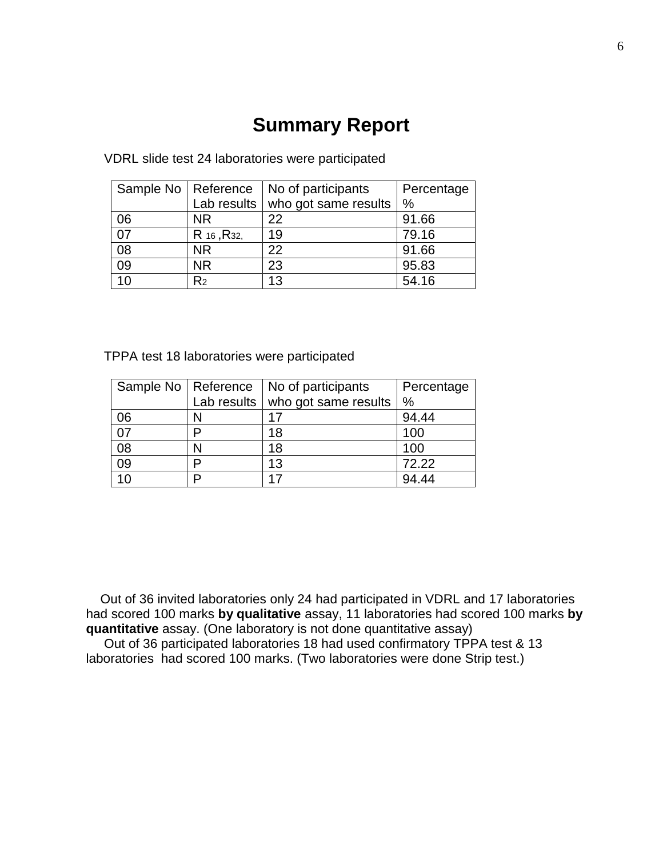## **Summary Report**

| Sample No   Reference |                         | No of participants   | Percentage    |
|-----------------------|-------------------------|----------------------|---------------|
|                       | Lab results             | who got same results | $\frac{0}{0}$ |
| 06                    | <b>NR</b>               | 22                   | 91.66         |
| 07                    | R 16, R <sub>32</sub> , | 19                   | 79.16         |
| 08                    | <b>NR</b>               | 22                   | 91.66         |
| $\overline{09}$       | <b>NR</b>               | 23                   | 95.83         |
| 10                    | R2                      | 13                   | 54.16         |

VDRL slide test 24 laboratories were participated

TPPA test 18 laboratories were participated

|                 | Sample No   Reference | No of participants                   | Percentage    |
|-----------------|-----------------------|--------------------------------------|---------------|
|                 |                       | Lab results $ $ who got same results | $\frac{0}{0}$ |
| 06              |                       | 17                                   | 94.44         |
| 07              |                       | 18                                   | 100           |
| 08              |                       | 18                                   | 100           |
| $\overline{09}$ |                       | 13                                   | 72.22         |
| 10 <sup>°</sup> | n                     | 17                                   | 94.44         |

 Out of 36 invited laboratories only 24 had participated in VDRL and 17 laboratories had scored 100 marks **by qualitative** assay, 11 laboratories had scored 100 marks **by quantitative** assay. (One laboratory is not done quantitative assay)

 Out of 36 participated laboratories 18 had used confirmatory TPPA test & 13 laboratories had scored 100 marks. (Two laboratories were done Strip test.)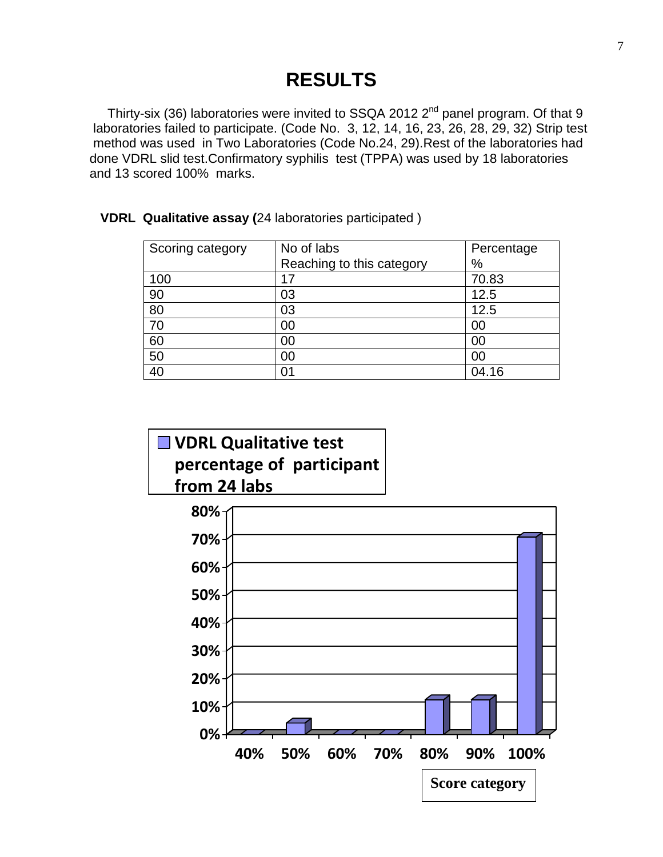## **RESULTS**

Thirty-six (36) laboratories were invited to SSQA 2012 2<sup>nd</sup> panel program. Of that 9 laboratories failed to participate. (Code No. 3, 12, 14, 16, 23, 26, 28, 29, 32) Strip test method was used in Two Laboratories (Code No.24, 29).Rest of the laboratories had done VDRL slid test.Confirmatory syphilis test (TPPA) was used by 18 laboratories and 13 scored 100% marks.

| Scoring category | No of labs                | Percentage |
|------------------|---------------------------|------------|
|                  | Reaching to this category | $\%$       |
| 100              | 17                        | 70.83      |
| 90               | 03                        | 12.5       |
| 80               | 03                        | 12.5       |
| 70               | 00                        | 00         |
| 60               | 00                        | 00         |
| 50               | 00                        | 00         |
| 40               | 01                        | 04.16      |

**VDRL Qualitative assay (**24 laboratories participated )

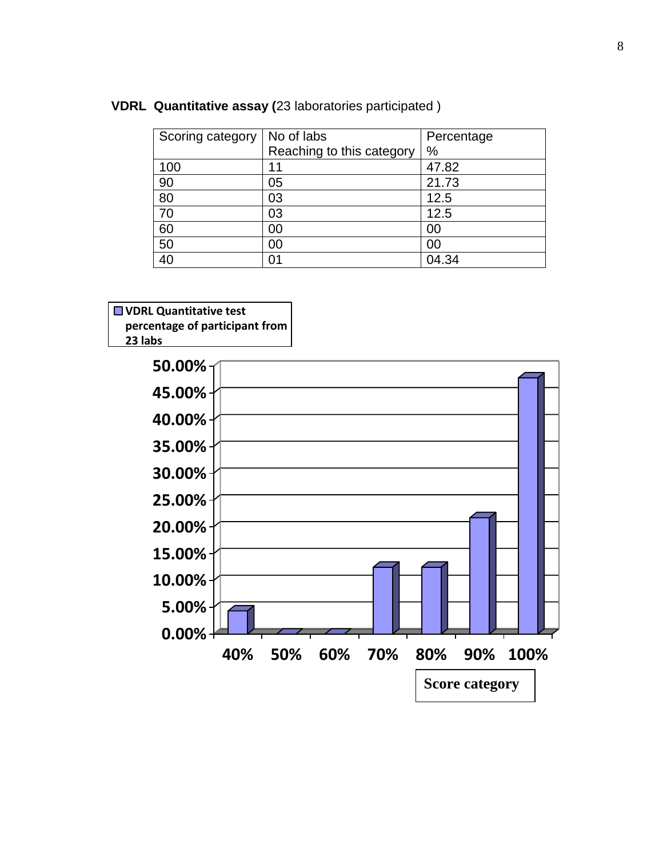|  | VDRL Quantitative assay (23 laboratories participated) |  |  |  |  |  |  |
|--|--------------------------------------------------------|--|--|--|--|--|--|
|--|--------------------------------------------------------|--|--|--|--|--|--|

| Scoring category | No of labs<br>Reaching to this category | Percentage<br>$\%$ |
|------------------|-----------------------------------------|--------------------|
| 100              | 1                                       | 47.82              |
| 90               | 05                                      | 21.73              |
| 80               | 03                                      | 12.5               |
| 70               | 03                                      | 12.5               |
| 60               | 00                                      | 00                 |
| 50               | 00                                      | 00                 |
| 40               | 01                                      | 04.34              |



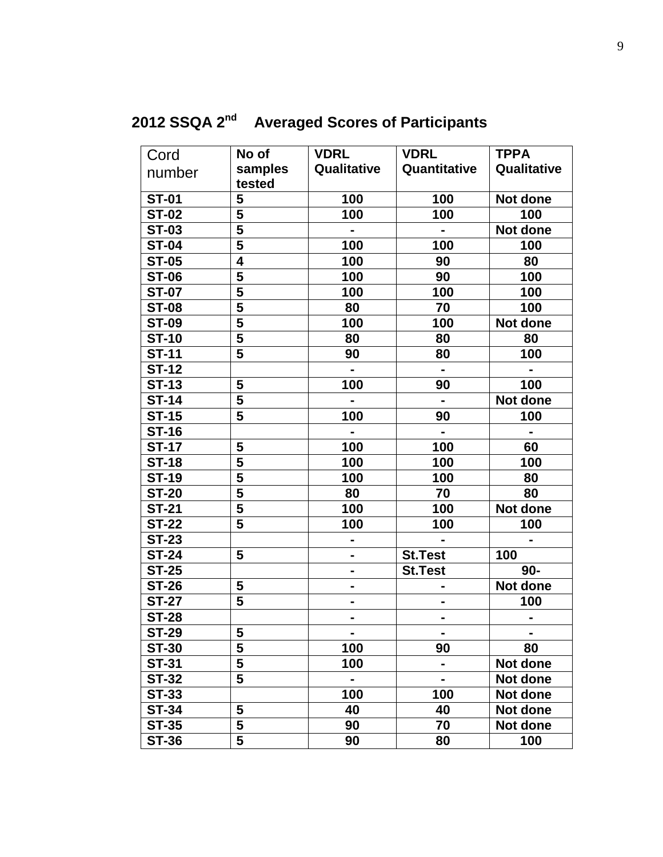## **2012 SSQA 2nd Averaged Scores of Participants**

| Cord         | No of                   | <b>VDRL</b>    | <b>VDRL</b>                  | <b>TPPA</b>    |
|--------------|-------------------------|----------------|------------------------------|----------------|
| number       | samples                 | Qualitative    | Quantitative                 | Qualitative    |
|              | tested                  |                |                              |                |
| <b>ST-01</b> | 5                       | 100            | 100                          | Not done       |
| <b>ST-02</b> | 5                       | 100            | 100                          | 100            |
| <b>ST-03</b> | $\overline{\mathbf{5}}$ |                |                              | Not done       |
| <b>ST-04</b> | 5                       | 100            | 100                          | 100            |
| <b>ST-05</b> | $\overline{\mathbf{4}}$ | 100            | 90                           | 80             |
| <b>ST-06</b> | 5                       | 100            | 90                           | 100            |
| <b>ST-07</b> | $\overline{5}$          | 100            | 100                          | 100            |
| <b>ST-08</b> | $\overline{\mathbf{5}}$ | 80             | 70                           | 100            |
| <b>ST-09</b> | $\overline{\mathbf{5}}$ | 100            | 100                          | Not done       |
| <b>ST-10</b> | 5                       | 80             | 80                           | 80             |
| <b>ST-11</b> | 5                       | 90             | 80                           | 100            |
| <b>ST-12</b> |                         | $\blacksquare$ | $\blacksquare$               | $\blacksquare$ |
| <b>ST-13</b> | 5                       | 100            | 90                           | 100            |
| <b>ST-14</b> | 5                       |                | $\blacksquare$               | Not done       |
| <b>ST-15</b> | 5                       | 100            | 90                           | 100            |
| <b>ST-16</b> |                         |                |                              |                |
| <b>ST-17</b> | 5                       | 100            | 100                          | 60             |
| <b>ST-18</b> | 5                       | 100            | 100                          | 100            |
| <b>ST-19</b> | 5                       | 100            | 100                          | 80             |
| <b>ST-20</b> | $\overline{\mathbf{5}}$ | 80             | 70                           | 80             |
| <b>ST-21</b> | $\overline{\mathbf{5}}$ | 100            | 100                          | Not done       |
| <b>ST-22</b> | $\overline{\mathbf{5}}$ | 100            | 100                          | 100            |
| <b>ST-23</b> |                         |                |                              |                |
| <b>ST-24</b> | 5                       | $\blacksquare$ | <b>St.Test</b>               | 100            |
| <b>ST-25</b> |                         |                | <b>St.Test</b>               | $90-$          |
| <b>ST-26</b> | 5                       | ۰              | $\qquad \qquad \blacksquare$ | Not done       |
| <b>ST-27</b> | 5                       |                |                              | 100            |
| <b>ST-28</b> |                         |                | $\blacksquare$               |                |
| <b>ST-29</b> | $\overline{\mathbf{5}}$ |                |                              |                |
| <b>ST-30</b> | 5                       | 100            | 90                           | 80             |
| <b>ST-31</b> | 5                       | 100            | ۰                            | Not done       |
| <b>ST-32</b> | 5                       | $\blacksquare$ | ٠                            | Not done       |
| <b>ST-33</b> |                         | 100            | 100                          | Not done       |
| <b>ST-34</b> | 5                       | 40             | 40                           | Not done       |
| <b>ST-35</b> | 5                       | 90             | 70                           | Not done       |
| <b>ST-36</b> | 5                       | 90             | 80                           | 100            |